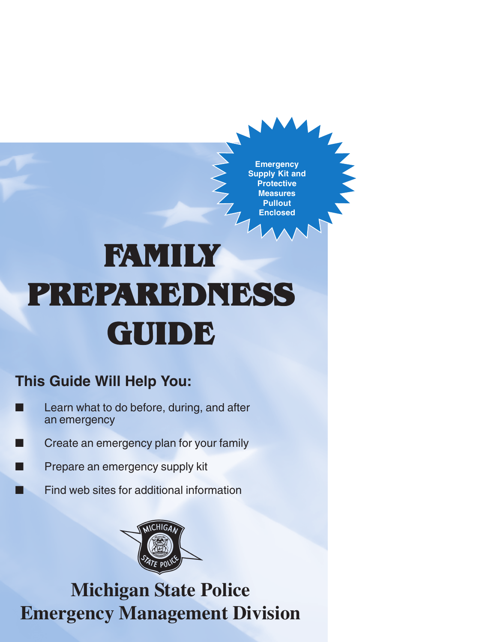**Emergency Supply Kit and Protective Measures Pullout Enclosed**

# **FAMILY PREPAREDNESS AREDNESS AREDNESS GUIDE**

### **This Guide Will Help You:**

- Learn what to do before, during, and after an emergency
- Create an emergency plan for your family
- Prepare an emergency supply kit
	- Find web sites for additional information



# **Michigan State Police Emergency Management Division**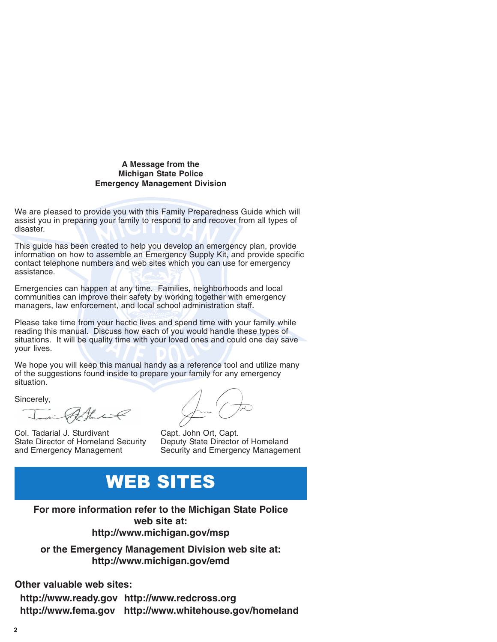#### **A Message from the Michigan State Police Emergency Management Division**

We are pleased to provide you with this Family Preparedness Guide which will assist you in preparing your family to respond to and recover from all types of disaster.

This guide has been created to help you develop an emergency plan, provide information on how to assemble an Emergency Supply Kit, and provide specific contact telephone numbers and web sites which you can use for emergency assistance.

Emergencies can happen at any time. Families, neighborhoods and local communities can improve their safety by working together with emergency managers, law enforcement, and local school administration staff.

Please take time from your hectic lives and spend time with your family while reading this manual. Discuss how each of you would handle these types of situations. It will be quality time with your loved ones and could one day save your lives.

We hope you will keep this manual handy as a reference tool and utilize many of the suggestions found inside to prepare your family for any emergency situation<sup>7</sup>

Sincerely,

Invine Potter

Col. Tadarial J. Sturdivant Capt. John Ort, Capt.<br>State Director of Homeland Security Deputy State Director State Director of Homeland Security Deputy State Director of Homeland<br>and Emergency Management Security and Emergency Managem

June (-

Security and Emergency Management

# WEB SITES

**For more information refer to the Michigan State Police web site at: http://www.michigan.gov/msp**

**or the Emergency Management Division web site at: http://www.michigan.gov/emd**

**Other valuable web sites:**

**http://www.ready.gov http://www.redcross.org http://www.fema.gov http://www.whitehouse.gov/homeland**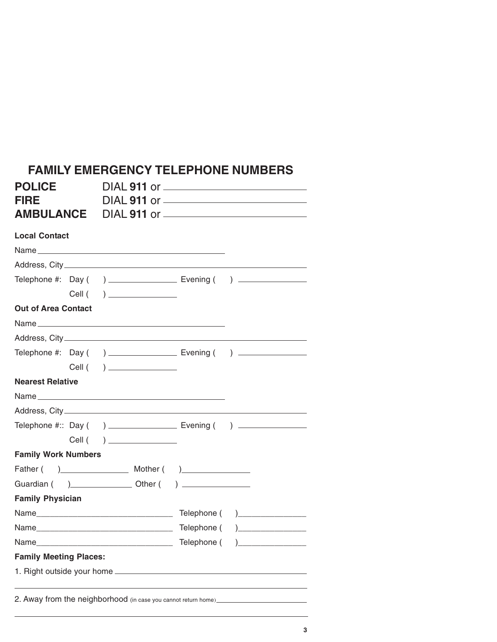| <b>FIRE</b>                                                     |  | <b>FAMILY EMERGENCY TELEPHONE NUMBERS</b><br>DIAL <b>911</b> or ____________________________ |  |                                                                                  |  |  |
|-----------------------------------------------------------------|--|----------------------------------------------------------------------------------------------|--|----------------------------------------------------------------------------------|--|--|
| <b>AMBULANCE</b> DIAL 911 or <u>___________________________</u> |  |                                                                                              |  |                                                                                  |  |  |
| <b>Local Contact</b>                                            |  |                                                                                              |  |                                                                                  |  |  |
|                                                                 |  |                                                                                              |  |                                                                                  |  |  |
|                                                                 |  |                                                                                              |  |                                                                                  |  |  |
|                                                                 |  |                                                                                              |  | Telephone #: Day () _________________________ Evening () _______________________ |  |  |
|                                                                 |  |                                                                                              |  |                                                                                  |  |  |
| <b>Out of Area Contact</b>                                      |  |                                                                                              |  |                                                                                  |  |  |
|                                                                 |  |                                                                                              |  |                                                                                  |  |  |
|                                                                 |  |                                                                                              |  |                                                                                  |  |  |
|                                                                 |  |                                                                                              |  |                                                                                  |  |  |
|                                                                 |  |                                                                                              |  |                                                                                  |  |  |

|                                                                                  | $\overline{\phantom{a}}$ |                                |
|----------------------------------------------------------------------------------|--------------------------|--------------------------------|
| <b>Nearest Relative</b>                                                          |                          |                                |
|                                                                                  |                          |                                |
|                                                                                  |                          |                                |
| Telephone #:: Day () ________________________ Evening () _______________________ |                          |                                |
|                                                                                  | Cell ( ) _____________   |                                |
| <b>Family Work Numbers</b>                                                       |                          |                                |
|                                                                                  |                          |                                |
|                                                                                  |                          |                                |
| <b>Family Physician</b>                                                          |                          |                                |
|                                                                                  |                          | Telephone ( )_________________ |
| Name                                                                             |                          | Telephone ()________________   |
|                                                                                  |                          | Telephone ( )_________________ |
| <b>Family Meeting Places:</b>                                                    |                          |                                |
|                                                                                  |                          |                                |
|                                                                                  |                          |                                |

2. Away from the neighborhood (in case you cannot return home)<br>
<u>Letter with the substitute of the substitute of the substitute of the substitute of the substitute</u> of the substitu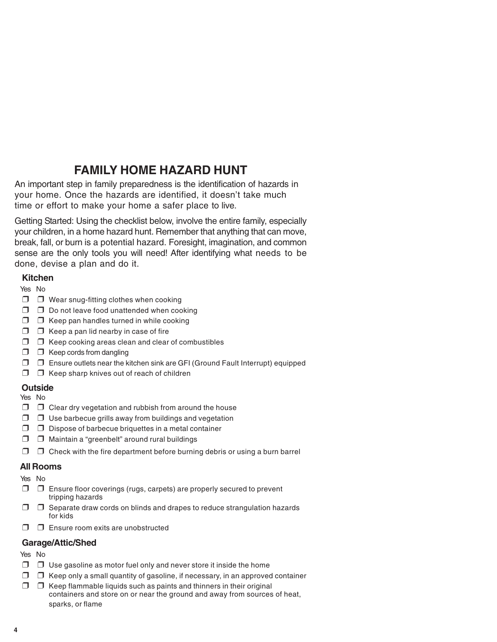### **FAMILY HOME HAZARD HUNT**

An important step in family preparedness is the identification of hazards in your home. Once the hazards are identified, it doesn't take much time or effort to make your home a safer place to live.

Getting Started: Using the checklist below, involve the entire family, especially your children, in a home hazard hunt. Remember that anything that can move, break, fall, or burn is a potential hazard. Foresight, imagination, and common sense are the only tools you will need! After identifying what needs to be done, devise a plan and do it.

#### **Kitchen**

Yes No

- ❒ ❒ Wear snug-fitting clothes when cooking
- ❒ ❒ Do not leave food unattended when cooking
- ❒ ❒ Keep pan handles turned in while cooking
- $\Box$   $\Box$  Keep a pan lid nearby in case of fire
- ❒ ❒ Keep cooking areas clean and clear of combustibles
- ❒ ❒ Keep cords from dangling
- ❒ ❒ Ensure outlets near the kitchen sink are GFI (Ground Fault Interrupt) equipped
- $\Box$   $\Box$  Keep sharp knives out of reach of children

#### **Outside**

Yes No

- ❒ ❒ Clear dry vegetation and rubbish from around the house
- ❒ ❒ Use barbecue grills away from buildings and vegetation
- ❒ ❒ Dispose of barbecue briquettes in a metal container
- ❒ ❒ Maintain a "greenbelt" around rural buildings
- $\Box$   $\Box$  Check with the fire department before burning debris or using a burn barrel

#### **All Rooms**

- Yes No
- ❒ ❒ Ensure floor coverings (rugs, carpets) are properly secured to prevent tripping hazards
- ❒ ❒ Separate draw cords on blinds and drapes to reduce strangulation hazards for kids
- $\n  $\square$ \n  $\square$ \n  $\square$  \n  $\square$  \n  $\square$  \n  $\square$  \n  $\square$  \n  $\square$  \n  $\square$$

#### **Garage/Attic/Shed**

Yes No

- $\Box$   $\Box$  Use gasoline as motor fuel only and never store it inside the home
- $\Box$   $\Box$  Keep only a small quantity of gasoline, if necessary, in an approved container
- $\Box$   $\Box$  Keep flammable liquids such as paints and thinners in their original containers and store on or near the ground and away from sources of heat, sparks, or flame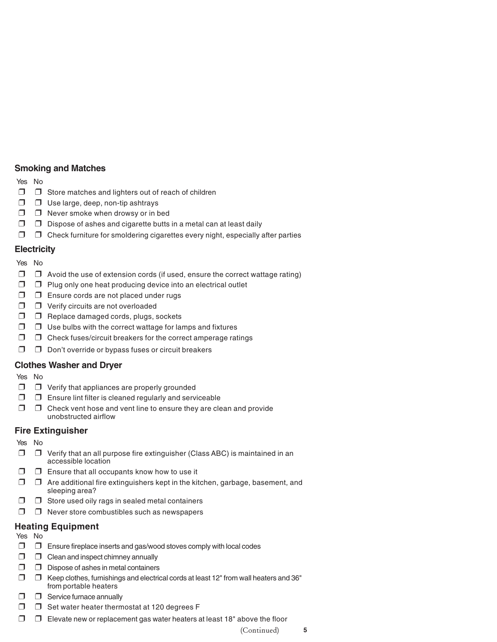#### **Smoking and Matches**

Yes No

- ❒ ❒ Store matches and lighters out of reach of children
- ❒ ❒ Use large, deep, non-tip ashtrays
- ❒ ❒ Never smoke when drowsy or in bed
- $\Box$   $\Box$  Dispose of ashes and cigarette butts in a metal can at least daily
- ❒ ❒ Check furniture for smoldering cigarettes every night, especially after parties

#### **Electricity**

#### Yes No

- $\Box$   $\Box$  Avoid the use of extension cords (if used, ensure the correct wattage rating)
- $\Box$   $\Box$  Plug only one heat producing device into an electrical outlet
- ❒ ❒ Ensure cords are not placed under rugs
- ❒ ❒ Verify circuits are not overloaded
- ❒ ❒ Replace damaged cords, plugs, sockets
- $\Box$   $\Box$  Use bulbs with the correct wattage for lamps and fixtures
- ❒ ❒ Check fuses/circuit breakers for the correct amperage ratings
- ❒ ❒ Don't override or bypass fuses or circuit breakers

#### **Clothes Washer and Dryer**

Yes No

- ❒ ❒ Verify that appliances are properly grounded
- $\Box$   $\Box$  Ensure lint filter is cleaned regularly and serviceable
- $\Box$   $\Box$  Check vent hose and vent line to ensure they are clean and provide unobstructed airflow

#### **Fire Extinguisher**

Yes No

- $\Box$   $\Box$  Verify that an all purpose fire extinguisher (Class ABC) is maintained in an accessible location
- $\Box$   $\Box$  Ensure that all occupants know how to use it
- ❒ ❒ Are additional fire extinguishers kept in the kitchen, garbage, basement, and sleeping area?
- $\Box$   $\Box$  Store used oily rags in sealed metal containers
- ❒ ❒ Never store combustibles such as newspapers

#### **Heating Equipment**

Yes No

- ❒ ❒ Ensure fireplace inserts and gas/wood stoves comply with local codes
- ❒ ❒ Clean and inspect chimney annually
- ❒ ❒ Dispose of ashes in metal containers
- $\Box$   $\Box$  Keep clothes, furnishings and electrical cords at least 12" from wall heaters and 36" from portable heaters
- ❒ ❒ Service furnace annually
- ❒ ❒ Set water heater thermostat at 120 degrees F
- $\Box$   $\Box$  Elevate new or replacement gas water heaters at least 18" above the floor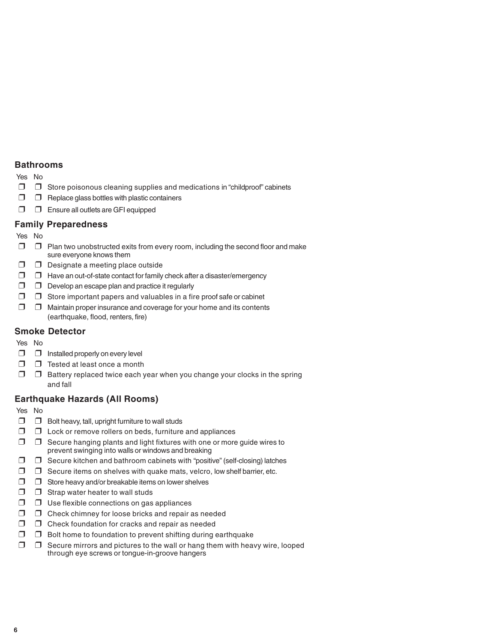#### **Bathrooms**

Yes No

- ❒ ❒ Store poisonous cleaning supplies and medications in "childproof" cabinets
- $\Box$   $\Box$  Replace glass bottles with plastic containers
- ❒ ❒ Ensure all outlets are GFI equipped

#### **Family Preparedness**

Yes No

- $\Box$   $\Box$  Plan two unobstructed exits from every room, including the second floor and make sure everyone knows them
- ❒ ❒ Designate a meeting place outside
- ❒ ❒ Have an out-of-state contact for family check after a disaster/emergency
- $\Box$   $\Box$  Develop an escape plan and practice it regularly
- ❒ ❒ Store important papers and valuables in a fire proof safe or cabinet
- ❒ ❒ Maintain proper insurance and coverage for your home and its contents (earthquake, flood, renters, fire)

#### **Smoke Detector**

Yes No

- $\Box$   $\Box$  Installed properly on every level
- ❒ ❒ Tested at least once a month
- $\Box$   $\Box$  Battery replaced twice each year when you change your clocks in the spring and fall

#### **Earthquake Hazards (All Rooms)**

Yes No

- ❒ ❒ Bolt heavy, tall, upright furniture to wall studs
- ❒ ❒ Lock or remove rollers on beds, furniture and appliances
- $\Box$   $\Box$  Secure hanging plants and light fixtures with one or more guide wires to prevent swinging into walls or windows and breaking
- ❒ ❒ Secure kitchen and bathroom cabinets with "positive" (self-closing) latches
- ❒ ❒ Secure items on shelves with quake mats, velcro, low shelf barrier, etc.
- ❒ ❒ Store heavy and/or breakable items on lower shelves
- ❒ ❒ Strap water heater to wall studs
- ❒ ❒ Use flexible connections on gas appliances
- ❒ ❒ Check chimney for loose bricks and repair as needed
- $\Box$   $\Box$  Check foundation for cracks and repair as needed
- ❒ ❒ Bolt home to foundation to prevent shifting during earthquake
- ❒ ❒ Secure mirrors and pictures to the wall or hang them with heavy wire, looped through eye screws or tongue-in-groove hangers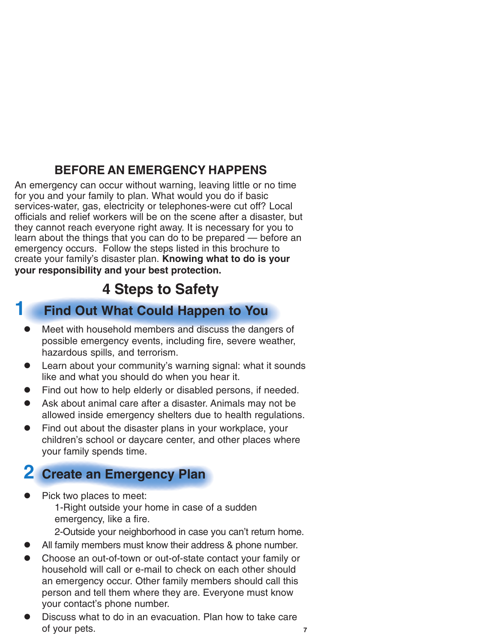### **BEFORE AN EMERGENCY HAPPENS**

An emergency can occur without warning, leaving little or no time for you and your family to plan. What would you do if basic services-water, gas, electricity or telephones-were cut off? Local officials and relief workers will be on the scene after a disaster, but they cannot reach everyone right away. It is necessary for you to learn about the things that you can do to be prepared — before an emergency occurs. Follow the steps listed in this brochure to create your family's disaster plan. **Knowing what to do is your your responsibility and your best protection.**

### **4 Steps to Safety**

### **1 Find Out What Could Happen to You**

- Meet with household members and discuss the dangers of possible emergency events, including fire, severe weather, hazardous spills, and terrorism.
- Learn about your community's warning signal: what it sounds like and what you should do when you hear it.
- Find out how to help elderly or disabled persons, if needed.
- Ask about animal care after a disaster. Animals may not be allowed inside emergency shelters due to health regulations.
- Find out about the disaster plans in your workplace, your children's school or daycare center, and other places where your family spends time.

### **2 Create an Emergency Plan**

Pick two places to meet: 1-Right outside your home in case of a sudden emergency, like a fire.

2-Outside your neighborhood in case you can't return home.

- All family members must know their address & phone number.
- Choose an out-of-town or out-of-state contact your family or household will call or e-mail to check on each other should an emergency occur. Other family members should call this person and tell them where they are. Everyone must know your contact's phone number.
- Discuss what to do in an evacuation. Plan how to take care of your pets.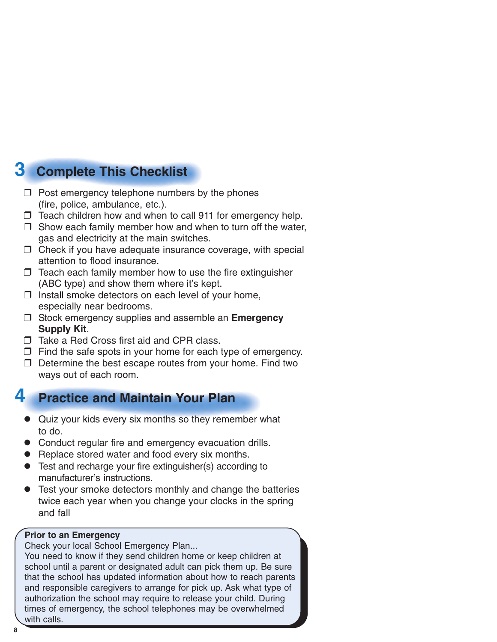## **3 Complete This Checklist**

- $\Box$  Post emergency telephone numbers by the phones (fire, police, ambulance, etc.).
- ❒ Teach children how and when to call 911 for emergency help.
- $\Box$  Show each family member how and when to turn off the water, gas and electricity at the main switches.
- ❒ Check if you have adequate insurance coverage, with special attention to flood insurance.
- $\Box$  Teach each family member how to use the fire extinguisher (ABC type) and show them where it's kept.
- $\square$  Install smoke detectors on each level of your home, especially near bedrooms.
- ❒ Stock emergency supplies and assemble an **Emergency Supply Kit**.
- ❒ Take a Red Cross first aid and CPR class.
- $\Box$  Find the safe spots in your home for each type of emergency.
- ❒ Determine the best escape routes from your home. Find two ways out of each room.

### **4 Practice and Maintain Your Plan**

- Quiz your kids every six months so they remember what to do.
- Conduct regular fire and emergency evacuation drills.
- Replace stored water and food every six months.
- Test and recharge your fire extinguisher(s) according to manufacturer's instructions.
- Test your smoke detectors monthly and change the batteries twice each year when you change your clocks in the spring and fall

#### **Prior to an Emergency**

Check your local School Emergency Plan...

You need to know if they send children home or keep children at school until a parent or designated adult can pick them up. Be sure that the school has updated information about how to reach parents and responsible caregivers to arrange for pick up. Ask what type of authorization the school may require to release your child. During times of emergency, the school telephones may be overwhelmed with calls.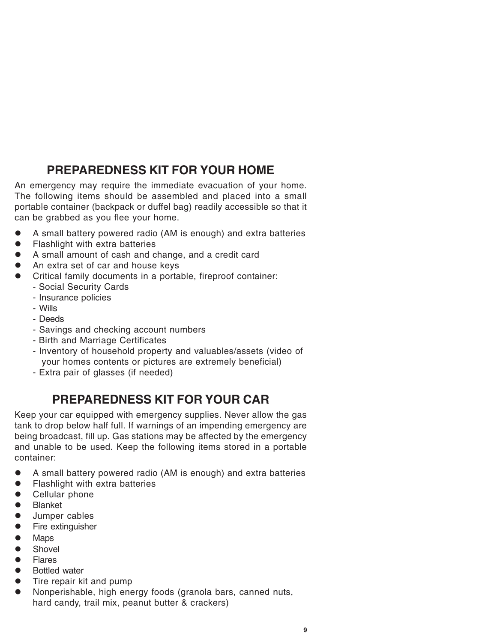### **PREPAREDNESS KIT FOR YOUR HOME**

An emergency may require the immediate evacuation of your home. The following items should be assembled and placed into a small portable container (backpack or duffel bag) readily accessible so that it can be grabbed as you flee your home.

- A small battery powered radio (AM is enough) and extra batteries
- Flashlight with extra batteries
- A small amount of cash and change, and a credit card
- An extra set of car and house keys
- Critical family documents in a portable, fireproof container:
	- Social Security Cards
	- Insurance policies
	- Wills
	- Deeds
	- Savings and checking account numbers
	- Birth and Marriage Certificates
	- Inventory of household property and valuables/assets (video of your homes contents or pictures are extremely beneficial)
	- Extra pair of glasses (if needed)

### **PREPAREDNESS KIT FOR YOUR CAR**

Keep your car equipped with emergency supplies. Never allow the gas tank to drop below half full. If warnings of an impending emergency are being broadcast, fill up. Gas stations may be affected by the emergency and unable to be used. Keep the following items stored in a portable container:

- $\bullet$  A small battery powered radio (AM is enough) and extra batteries
- Flashlight with extra batteries
- $\bullet$  Cellular phone
- **•** Blanket
- **•** Jumper cables
- Fire extinguisher
- $\bullet$  Maps
- $\bullet$  Shovel
- **•** Flares
- Bottled water
- $\bullet$  Tire repair kit and pump
- Nonperishable, high energy foods (granola bars, canned nuts, hard candy, trail mix, peanut butter & crackers)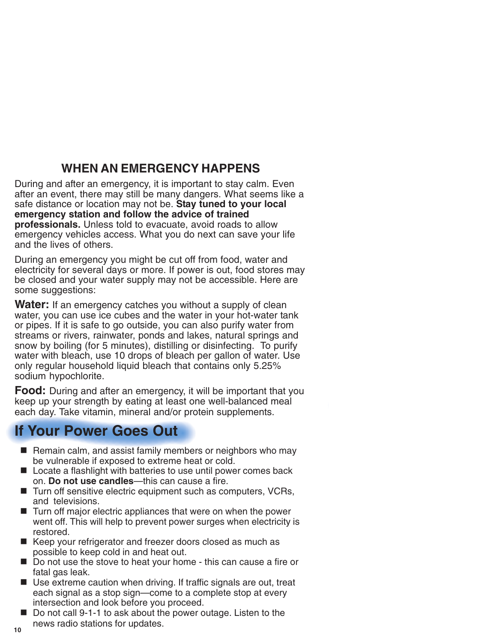### **WHEN AN EMERGENCY HAPPENS**

During and after an emergency, it is important to stay calm. Even after an event, there may still be many dangers. What seems like a safe distance or location may not be. **Stay tuned to your local emergency station and follow the advice of trained professionals.** Unless told to evacuate, avoid roads to allow emergency vehicles access. What you do next can save your life and the lives of others.

During an emergency you might be cut off from food, water and electricity for several days or more. If power is out, food stores may be closed and your water supply may not be accessible. Here are some suggestions:

**Water:** If an emergency catches you without a supply of clean water, you can use ice cubes and the water in your hot-water tank or pipes. If it is safe to go outside, you can also purify water from streams or rivers, rainwater, ponds and lakes, natural springs and snow by boiling (for 5 minutes), distilling or disinfecting. To purify water with bleach, use 10 drops of bleach per gallon of water. Use only regular household liquid bleach that contains only 5.25% sodium hypochlorite.

**Food:** During and after an emergency, it will be important that you keep up your strength by eating at least one well-balanced meal each day. Take vitamin, mineral and/or protein supplements.

### **If Your Power Goes Out**

- Remain calm, and assist family members or neighbors who may be vulnerable if exposed to extreme heat or cold.
- Locate a flashlight with batteries to use until power comes back on. **Do not use candles**—this can cause a fire.
- Turn off sensitive electric equipment such as computers, VCRs, and televisions.
- $\blacksquare$  Turn off major electric appliances that were on when the power went off. This will help to prevent power surges when electricity is restored.
- Keep your refrigerator and freezer doors closed as much as possible to keep cold in and heat out.
- Do not use the stove to heat your home this can cause a fire or fatal gas leak.
- Use extreme caution when driving. If traffic signals are out, treat each signal as a stop sign—come to a complete stop at every intersection and look before you proceed.
- Do not call 9-1-1 to ask about the power outage. Listen to the news radio stations for updates.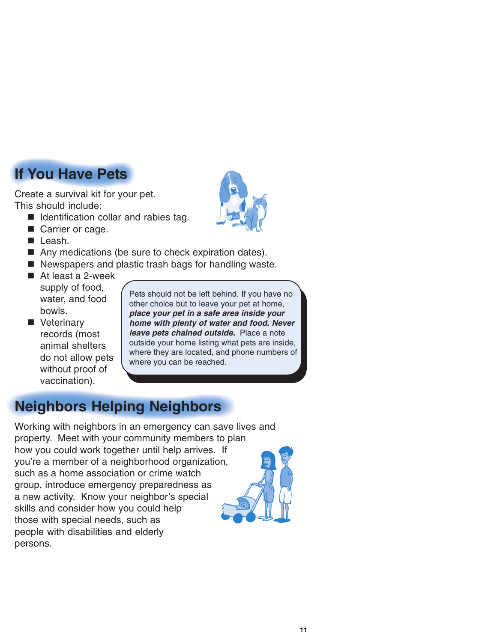# **If You Have Pets**

Create a survival kit for your pet. This should include:

- I Identification collar and rabies tag.
- Carrier or cage.
- **Leash.**
- Any medications (be sure to check expiration dates).
- Newspapers and plastic trash bags for handling waste.
- At least a 2-week supply of food, water, and food bowls.
- **Veterinary** records (most animal shelters do not allow pets without proof of vaccination).

Pets should not be left behind. If you have no other choice but to leave your pet at home, **place your pet in a safe area inside your home with plenty of water and food. Never leave pets chained outside.** Place a note outside your home listing what pets are inside, where they are located, and phone numbers of where you can be reached.

### **Neighbors Helping Neighbors**

Working with neighbors in an emergency can save lives and property. Meet with your community members to plan how you could work together until help arrives. If you're a member of a neighborhood organization, such as a home association or crime watch group, introduce emergency preparedness as a new activity. Know your neighbor's special skills and consider how you could help those with special needs, such as people with disabilities and elderly persons.

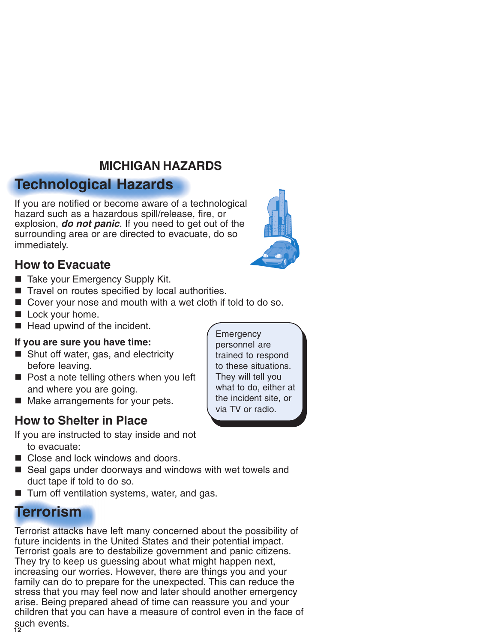### **MICHIGAN HAZARDS**

### **Technological Hazards**

If you are notified or become aware of a technological hazard such as a hazardous spill/release, fire, or explosion, **do not panic**. If you need to get out of the surrounding area or are directed to evacuate, do so immediately.

#### **How to Evacuate**

- Take your Emergency Supply Kit.
- Travel on routes specified by local authorities.
- Cover your nose and mouth with a wet cloth if told to do so.
- Lock your home.
- $\blacksquare$  Head upwind of the incident.

#### **If you are sure you have time:**

- Shut off water, gas, and electricity before leaving.
- Post a note telling others when you left and where you are going.
- Make arrangements for your pets.

### **How to Shelter in Place**

If you are instructed to stay inside and not to evacuate:

- Close and lock windows and doors.
- Seal gaps under doorways and windows with wet towels and duct tape if told to do so.
- Turn off ventilation systems, water, and gas.

### **Terrorism**

**12** such events. Terrorist attacks have left many concerned about the possibility of future incidents in the United States and their potential impact. Terrorist goals are to destabilize government and panic citizens. They try to keep us quessing about what might happen next, increasing our worries. However, there are things you and your family can do to prepare for the unexpected. This can reduce the stress that you may feel now and later should another emergency arise. Being prepared ahead of time can reassure you and your children that you can have a measure of control even in the face of



**Emergency** personnel are trained to respond to these situations. They will tell you what to do, either at the incident site, or via TV or radio.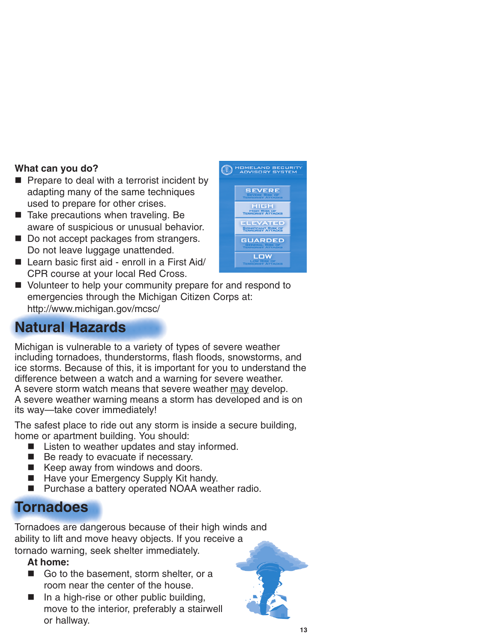#### **What can you do?**

- $\blacksquare$  Prepare to deal with a terrorist incident by adapting many of the same techniques used to prepare for other crises.
- Take precautions when traveling. Be aware of suspicious or unusual behavior.
- Do not accept packages from strangers. Do not leave luggage unattended.
- $\blacksquare$  Learn basic first aid enroll in a First Aid/ CPR course at your local Red Cross.



U Volunteer to help your community prepare for and respond to emergencies through the Michigan Citizen Corps at: http://www.michigan.gov/mcsc/

### **Natural Hazards**

Michigan is vulnerable to a variety of types of severe weather including tornadoes, thunderstorms, flash floods, snowstorms, and ice storms. Because of this, it is important for you to understand the difference between a watch and a warning for severe weather. A severe storm watch means that severe weather may develop. A severe weather warning means a storm has developed and is on its way—take cover immediately!

The safest place to ride out any storm is inside a secure building, home or apartment building. You should:

- Listen to weather updates and stay informed.
- Be ready to evacuate if necessary.
- Keep away from windows and doors.
- Have your Emergency Supply Kit handy.
- Purchase a battery operated NOAA weather radio.

### **Tornadoes**

Tornadoes are dangerous because of their high winds and ability to lift and move heavy objects. If you receive a tornado warning, seek shelter immediately.

#### **At home:**

- Go to the basement, storm shelter, or a room near the center of the house.
- $\blacksquare$  In a high-rise or other public building, move to the interior, preferably a stairwell or hallway.

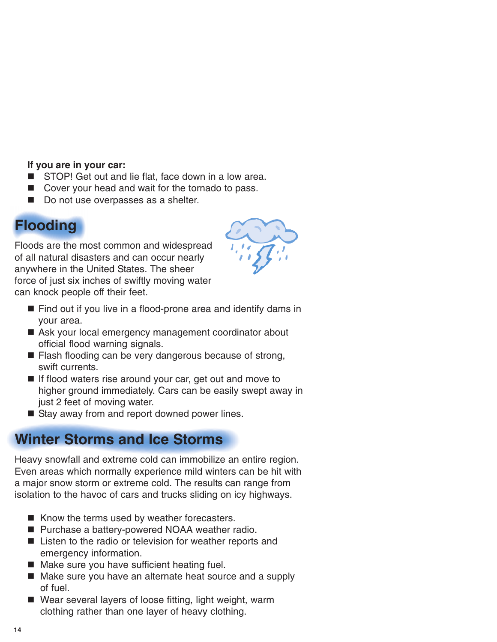#### **If you are in your car:**

- STOP! Get out and lie flat, face down in a low area.
- Cover your head and wait for the tornado to pass.
- Do not use overpasses as a shelter.

### **Flooding**

Floods are the most common and widespread of all natural disasters and can occur nearly anywhere in the United States. The sheer force of just six inches of swiftly moving water can knock people off their feet.



- Find out if you live in a flood-prone area and identify dams in your area.
- Ask your local emergency management coordinator about official flood warning signals.
- Flash flooding can be very dangerous because of strong, swift currents.
- If flood waters rise around your car, get out and move to higher ground immediately. Cars can be easily swept away in just 2 feet of moving water.
- Stay away from and report downed power lines.

### **Winter Storms and Ice Storms**

Heavy snowfall and extreme cold can immobilize an entire region. Even areas which normally experience mild winters can be hit with a major snow storm or extreme cold. The results can range from isolation to the havoc of cars and trucks sliding on icy highways.

- $\blacksquare$  Know the terms used by weather forecasters.
- Purchase a battery-powered NOAA weather radio.
- Listen to the radio or television for weather reports and emergency information.
- Make sure you have sufficient heating fuel.
- Make sure you have an alternate heat source and a supply of fuel.
- Wear several layers of loose fitting, light weight, warm clothing rather than one layer of heavy clothing.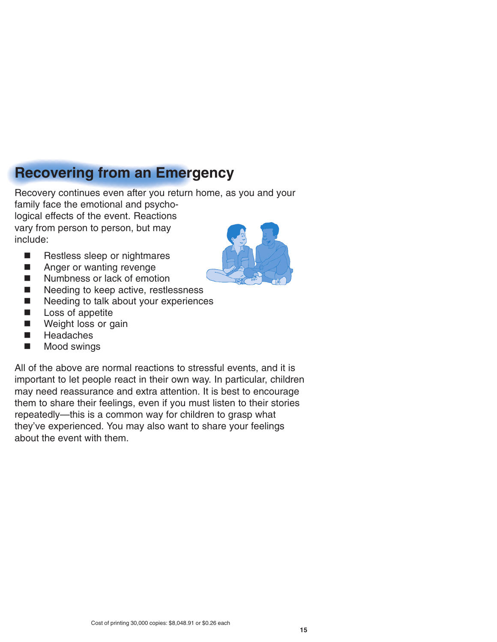### **Recovering from an Emergency**

Recovery continues even after you return home, as you and your family face the emotional and psycho-

logical effects of the event. Reactions vary from person to person, but may include:

- Restless sleep or nightmares
- **Anger or wanting revenge**
- Numbness or lack of emotion
- Needing to keep active, restlessness
- Needing to talk about your experiences
- **Loss of appetite**
- **Neight loss or gain**
- **Headaches**
- **Mood swings**



All of the above are normal reactions to stressful events, and it is important to let people react in their own way. In particular, children may need reassurance and extra attention. It is best to encourage them to share their feelings, even if you must listen to their stories repeatedly—this is a common way for children to grasp what they've experienced. You may also want to share your feelings about the event with them.